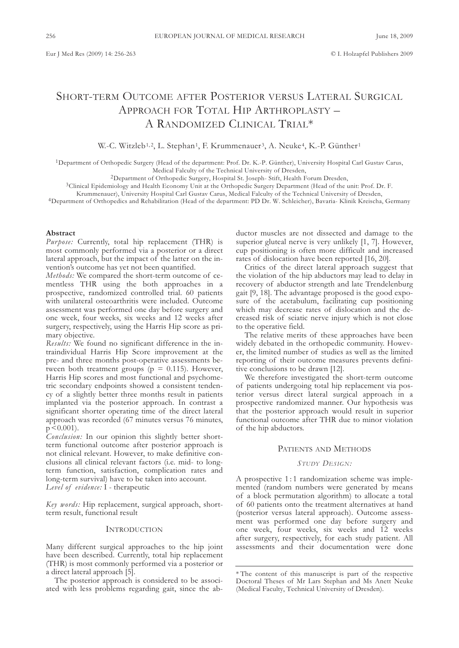# SHORT-TERM OUTCOME AFTER POSTERIOR VERSUS LATERAL SURGICAL APPROACH FOR TOTAL HIP ARTHROPLASTY – A RANDOMIZED CLINICAL TRIAL\*

W.-C. Witzleb<sup>1,2</sup>, L. Stephan<sup>1</sup>, F. Krummenauer<sup>3</sup>, A. Neuke<sup>4</sup>, K.-P. Günther<sup>1</sup>

1Department of Orthopedic Surgery (Head of the department: Prof. Dr. K.-P. Günther), University Hospital Carl Gustav Carus, Medical Falculty of the Technical University of Dresden,

2Department of Orthopedic Surgery, Hospital St. Joseph- Stift, Health Forum Dresden,

3Clinical Epidemiology and Health Economy Unit at the Orthopedic Surgery Department (Head of the unit: Prof. Dr. F.

Krummenauer), University Hospital Carl Gustav Carus, Medical Falculty of the Technical University of Dresden,

4Department of Orthopedics and Rehabilitation (Head of the department: PD Dr. W. Schleicher), Bavaria- Klinik Kreischa, Germany

## **Abstract**

*Purpose:* Currently, total hip replacement (THR) is most commonly performed via a posterior or a direct lateral approach, but the impact of the latter on the invention's outcome has yet not been quantified.

*Methods:* We compared the short-term outcome of cementless THR using the both approaches in a prospective, randomized controlled trial. 60 patients with unilateral osteoarthritis were included. Outcome assessment was performed one day before surgery and one week, four weeks, six weeks and 12 weeks after surgery, respectively, using the Harris Hip score as primary objective.

*Results:* We found no significant difference in the intraindividual Harris Hip Score improvement at the pre- and three months post-operative assessments between both treatment groups ( $p = 0.115$ ). However, Harris Hip scores and most functional and psychometric secondary endpoints showed a consistent tendency of a slightly better three months result in patients implanted via the posterior approach. In contrast a significant shorter operating time of the direct lateral approach was recorded (67 minutes versus 76 minutes,  $p \leq 0.001$ ).

*Conclusion:* In our opinion this slightly better shortterm functional outcome after posterior approach is not clinical relevant. However, to make definitive conclusions all clinical relevant factors (i.e. mid- to longterm function, satisfaction, complication rates and long-term survival) have to be taken into account. *Level of evidence:* I - therapeutic

*Key words:* Hip replacement, surgical approach, shortterm result, functional result

# **INTRODUCTION**

Many different surgical approaches to the hip joint have been described. Currently, total hip replacement (THR) is most commonly performed via a posterior or a direct lateral approach [5].

The posterior approach is considered to be associated with less problems regarding gait, since the abductor muscles are not dissected and damage to the superior gluteal nerve is very unlikely [1, 7]. However, cup positioning is often more difficult and increased rates of dislocation have been reported [16, 20].

Critics of the direct lateral approach suggest that the violation of the hip abductors may lead to delay in recovery of abductor strength and late Trendelenburg gait [9, 18]. The advantage proposed is the good exposure of the acetabulum, facilitating cup positioning which may decrease rates of dislocation and the decreased risk of sciatic nerve injury which is not close to the operative field.

The relative merits of these approaches have been widely debated in the orthopedic community. However, the limited number of studies as well as the limited reporting of their outcome measures prevents definitive conclusions to be drawn [12].

We therefore investigated the short-term outcome of patients undergoing total hip replacement via posterior versus direct lateral surgical approach in a prospective randomized manner. Our hypothesis was that the posterior approach would result in superior functional outcome after THR due to minor violation of the hip abductors.

# PATIENTS AND METHODS

#### *STUDY DESIGN:*

A prospective 1 : 1 randomization scheme was implemented (random numbers were generated by means of a block permutation algorithm) to allocate a total of 60 patients onto the treatment alternatives at hand (posterior versus lateral approach). Outcome assessment was performed one day before surgery and one week, four weeks, six weeks and 12 weeks after surgery, respectively, for each study patient. All assessments and their documentation were done

<sup>\*</sup> The content of this manuscript is part of the respective Doctoral Theses of Mr Lars Stephan and Ms Anett Neuke (Medical Faculty, Technical University of Dresden).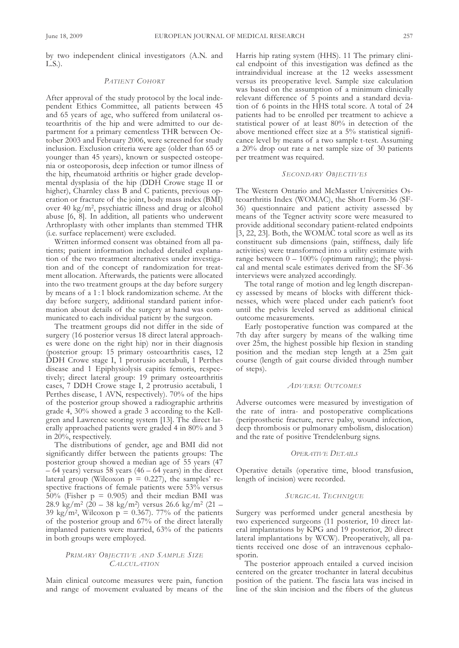by two independent clinical investigators (A.N. and L.S.).

# *PATIENT COHORT*

After approval of the study protocol by the local independent Ethics Committee, all patients between 45 and 65 years of age, who suffered from unilateral osteoarthritis of the hip and were admitted to our department for a primary cementless THR between October 2003 and February 2006, were screened for study inclusion. Exclusion criteria were age (older than 65 or younger than 45 years), known or suspected osteopenia or osteoporosis, deep infection or tumor illness of the hip, rheumatoid arthritis or higher grade developmental dysplasia of the hip (DDH Crowe stage II or higher), Charnley class B and C patients, previous operation or fracture of the joint, body mass index (BMI) over 40 kg/m2, psychiatric illness and drug or alcohol abuse [6, 8]. In addition, all patients who underwent Arthroplasty with other implants than stemmed THR (i.e. surface replacement) were excluded.

Written informed consent was obtained from all patients; patient information included detailed explanation of the two treatment alternatives under investigation and of the concept of randomization for treatment allocation. Afterwards, the patients were allocated into the two treatment groups at the day before surgery by means of a 1 : 1 block randomization scheme. At the day before surgery, additional standard patient information about details of the surgery at hand was communicated to each individual patient by the surgeon.

The treatment groups did not differ in the side of surgery (16 posterior versus 18 direct lateral approaches were done on the right hip) nor in their diagnosis (posterior group: 15 primary osteoarthritis cases, 12 DDH Crowe stage I, 1 protrusio acetabuli, 1 Perthes disease and 1 Epiphysiolysis capitis femoris, respectively; direct lateral group: 19 primary osteoarthritis cases, 7 DDH Crowe stage I, 2 protrusio acetabuli, 1 Perthes disease, 1 AVN, respectively). 70% of the hips of the posterior group showed a radiographic arthritis grade 4, 30% showed a grade 3 according to the Kellgren and Lawrence scoring system [13]. The direct laterally approached patients were graded 4 in 80% and 3 in 20%, respectively.

The distributions of gender, age and BMI did not significantly differ between the patients groups: The posterior group showed a median age of 55 years (47  $-64$  years) versus 58 years (46  $-64$  years) in the direct lateral group (Wilcoxon  $p = 0.227$ ), the samples' respective fractions of female patients were 53% versus  $50\%$  (Fisher  $p = 0.905$ ) and their median BMI was 28.9 kg/m<sup>2</sup> (20 – 38 kg/m<sup>2</sup>) versus 26.6 kg/m<sup>2</sup> (21 – 39 kg/m<sup>2</sup>, Wilcoxon p = 0.367). 77% of the patients of the posterior group and 67% of the direct laterally implanted patients were married, 63% of the patients in both groups were employed.

# *PRIMARY OBJECTIVE AND SAMPLE SIZE CALCULATION*

Main clinical outcome measures were pain, function and range of movement evaluated by means of the

Harris hip rating system (HHS). 11 The primary clinical endpoint of this investigation was defined as the intraindividual increase at the 12 weeks assessment versus its preoperative level. Sample size calculation was based on the assumption of a minimum clinically relevant difference of 5 points and a standard deviation of 6 points in the HHS total score. A total of 24 patients had to be enrolled per treatment to achieve a statistical power of at least 80% in detection of the above mentioned effect size at a 5% statistical significance level by means of a two sample t-test. Assuming a 20% drop out rate a net sample size of 30 patients per treatment was required.

#### *SECONDARY OBJECTIVES*

The Western Ontario and McMaster Universities Osteoarthritis Index (WOMAC), the Short Form-36 (SF-36) questionnaire and patient activity assessed by means of the Tegner activity score were measured to provide additional secondary patient-related endpoints  $[3, 22, 23]$ . Both, the WOMAC total score as well as its constituent sub dimensions (pain, stiffness, daily life activities) were transformed into a utility estimate with range between  $0 - 100\%$  (optimum rating); the physical and mental scale estimates derived from the SF-36 interviews were analyzed accordingly.

The total range of motion and leg length discrepancy assessed by means of blocks with different thicknesses, which were placed under each patient's foot until the pelvis leveled served as additional clinical outcome measurements.

Early postoperative function was compared at the 7th day after surgery by means of the walking time over 25m, the highest possible hip flexion in standing position and the median step length at a 25m gait course (length of gait course divided through number of steps).

#### *ADVERSE OUTCOMES*

Adverse outcomes were measured by investigation of the rate of intra- and postoperative complications (periprosthetic fracture, nerve palsy, wound infection, deep thrombosis or pulmonary embolism, dislocation) and the rate of positive Trendelenburg signs.

# *OPERATIVE DETAILS*

Operative details (operative time, blood transfusion, length of incision) were recorded.

#### *SURGICAL TECHNIQUE*

Surgery was performed under general anesthesia by two experienced surgeons (11 posterior, 10 direct lateral implantations by KPG and 19 posterior, 20 direct lateral implantations by WCW). Preoperatively, all patients received one dose of an intravenous cephalosporin.

The posterior approach entailed a curved incision centered on the greater trochanter in lateral decubitus position of the patient. The fascia lata was incised in line of the skin incision and the fibers of the gluteus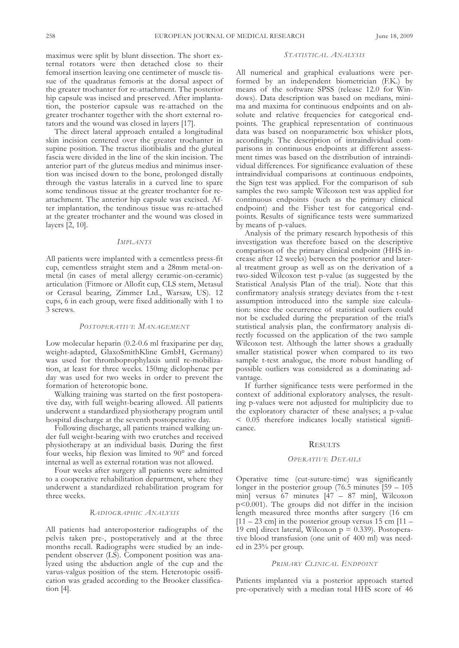maximus were split by blunt dissection. The short external rotators were then detached close to their femoral insertion leaving one centimeter of muscle tissue of the quadratus femoris at the dorsal aspect of the greater trochanter for re-attachment. The posterior hip capsule was incised and preserved. After implantation, the posterior capsule was re-attached on the greater trochanter together with the short external rotators and the wound was closed in layers [17].

The direct lateral approach entailed a longitudinal skin incision centered over the greater trochanter in supine position. The tractus iliotibialis and the gluteal fascia were divided in the line of the skin incision. The anterior part of the gluteus medius and minimus insertion was incised down to the bone, prolonged distally through the vastus lateralis in a curved line to spare some tendinous tissue at the greater trochanter for reattachment. The anterior hip capsule was excised. After implantation, the tendinous tissue was re-attached at the greater trochanter and the wound was closed in layers [2, 10].

#### *IMPLANTS*

All patients were implanted with a cementless press-fit cup, cementless straight stem and a 28mm metal-onmetal (in cases of metal allergy ceramic-on-ceramic) articulation (Fitmore or Allofit cup, CLS stem, Metasul or Cerasul bearing, Zimmer Ltd., Warsaw, US). 12 cups, 6 in each group, were fixed additionally with 1 to 3 screws.

# *POSTOPERATIVE MANAGEMENT*

Low molecular heparin (0.2-0.6 ml fraxiparine per day, weight-adapted, GlaxoSmithKline GmbH, Germany) was used for thromboprophylaxis until re-mobilization, at least for three weeks. 150mg diclophenac per day was used for two weeks in order to prevent the formation of heterotopic bone.

Walking training was started on the first postoperative day, with full weight-bearing allowed. All patients underwent a standardized physiotherapy program until hospital discharge at the seventh postoperative day.

Following discharge, all patients trained walking under full weight-bearing with two crutches and received physiotherapy at an individual basis. During the first four weeks, hip flexion was limited to 90° and forced internal as well as external rotation was not allowed.

Four weeks after surgery all patients were admitted to a cooperative rehabilitation department, where they underwent a standardized rehabilitation program for three weeks.

# *RADIOGRAPHIC ANALYSIS*

All patients had anteroposterior radiographs of the pelvis taken pre-, postoperatively and at the three months recall. Radiographs were studied by an independent observer (LS). Component position was analyzed using the abduction angle of the cup and the varus-valgus position of the stem. Heterotopic ossification was graded according to the Brooker classification [4].

# *STATISTICAL ANALYSIS*

All numerical and graphical evaluations were performed by an independent biometrician (F.K.) by means of the software SPSS (release 12.0 for Windows). Data description was based on medians, minima and maxima for continuous endpoints and on absolute and relative frequencies for categorical endpoints. The graphical representation of continuous data was based on nonparametric box whisker plots, accordingly. The description of intraindividual comparisons in continuous endpoints at different assessment times was based on the distribution of intraindividual differences. For significance evaluation of these intraindividual comparisons at continuous endpoints, the Sign test was applied. For the comparison of sub samples the two sample Wilcoxon test was applied for continuous endpoints (such as the primary clinical endpoint) and the Fisher test for categorical endpoints. Results of significance tests were summarized by means of p-values.

Analysis of the primary research hypothesis of this investigation was therefore based on the descriptive comparison of the primary clinical endpoint (HHS increase after 12 weeks) between the posterior and lateral treatment group as well as on the derivation of a two-sided Wilcoxon test p-value (as suggested by the Statistical Analysis Plan of the trial). Note that this confirmatory analysis strategy deviates from the t-test assumption introduced into the sample size calculation: since the occurrence of statistical outliers could not be excluded during the preparation of the trial's statistical analysis plan, the confirmatory analysis directly focussed on the application of the two sample Wilcoxon test. Although the latter shows a gradually smaller statistical power when compared to its two sample t-test analogue, the more robust handling of possible outliers was considered as a dominating advantage.

If further significance tests were performed in the context of additional exploratory analyses, the resulting p-values were not adjusted for multiplicity due to the exploratory character of these analyses; a p-value < 0.05 therefore indicates locally statistical significance.

#### **RESULTS**

#### *OPERATIVE DETAILS*

Operative time (cut-suture-time) was significantly longer in the posterior group (76.5 minutes [59 – 105 min] versus 67 minutes [47 – 87 min], Wilcoxon p<0.001). The groups did not differ in the incision length measured three months after surgery (16 cm  $[11 - 23$  cm] in the posterior group versus 15 cm  $[11 -$ 19 cm] direct lateral, Wilcoxon  $p = 0.339$ ). Postoperative blood transfusion (one unit of 400 ml) was needed in 23% per group.

#### *PRIMARY CLINICAL ENDPOINT*

Patients implanted via a posterior approach started pre-operatively with a median total HHS score of 46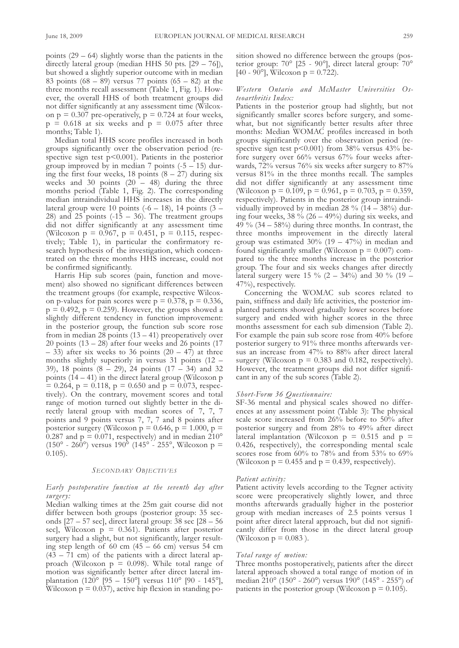points (29 – 64) slightly worse than the patients in the directly lateral group (median HHS 50 pts.  $[29 - 76]$ ), but showed a slightly superior outcome with in median 83 points  $(68 - 89)$  versus 77 points  $(65 - 82)$  at the three months recall assessment (Table 1, Fig. 1). However, the overall HHS of both treatment groups did not differ significantly at any assessment time (Wilcoxon  $p = 0.307$  pre-operatively,  $p = 0.724$  at four weeks,  $p = 0.618$  at six weeks and  $p = 0.075$  after three months; Table 1).

Median total HHS score profiles increased in both groups significantly over the observation period (respective sign test p<0.001). Patients in the posterior group improved by in median 7 points  $(-5 - 15)$  during the first four weeks, 18 points  $(8 - 27)$  during six weeks and 30 points (20 – 48) during the three months period (Table 1, Fig. 2). The corresponding median intraindividual HHS increases in the directly lateral group were 10 points  $(-6 - 18)$ , 14 points  $(3 -$ 28) and 25 points  $(-15 - 36)$ . The treatment groups did not differ significantly at any assessment time (Wilcoxon p = 0.967, p = 0.451, p = 0.115, respectively; Table 1), in particular the confirmatory research hypothesis of the investigation, which concentrated on the three months HHS increase, could not be confirmed significantly.

Harris Hip sub scores (pain, function and movement) also showed no significant differences between the treatment groups (for example, respective Wilcoxon p-values for pain scores were  $p = 0.378$ ,  $p = 0.336$ ,  $p = 0.492$ ,  $p = 0.259$ . However, the groups showed a slightly different tendency in function improvement: in the posterior group, the function sub score rose from in median 28 points  $(13 - 41)$  preoperatively over 20 points  $(13 - 28)$  after four weeks and 26 points  $(17)$  $-33$ ) after six weeks to 36 points (20 – 47) at three months slightly superiorly in versus 31 points (12 – 39), 18 points  $(8 - 29)$ , 24 points  $(17 - 34)$  and 32 points  $(14 – 41)$  in the direct lateral group (Wilcoxon p  $= 0.264$ , p = 0.118, p = 0.650 and p = 0.073, respectively). On the contrary, movement scores and total range of motion turned out slightly better in the directly lateral group with median scores of 7, 7, 7 points and 9 points versus 7, 7, 7 and 8 points after posterior surgery (Wilcoxon p = 0.646, p = 1.000, p =  $0.287$  and  $p = 0.071$ , respectively) and in median  $210^{\circ}$  $(150^{\circ} - 260^{\circ})$  versus  $190^{\circ}$  (145° - 255°, Wilcoxon p = 0.105).

#### *SECONDARY OBJECTIVES*

# *Early postoperative function at the seventh day after surgery:*

Median walking times at the 25m gait course did not differ between both groups (posterior group: 35 seconds [27 – 57 sec], direct lateral group: 38 sec [28 – 56 sec], Wilcoxon  $p = 0.361$ ). Patients after posterior surgery had a slight, but not significantly, larger resulting step length of 60 cm (45 – 66 cm) versus 54 cm  $(43 - 71$  cm) of the patients with a direct lateral approach (Wilcoxon  $p = 0.098$ ). While total range of motion was significantly better after direct lateral implantation (120° [95 – 150°] versus 110° [90 - 145°], Wilcoxon  $p = 0.037$ , active hip flexion in standing po-

sition showed no difference between the groups (posterior group: 70° [25 - 90°], direct lateral group: 70°  $[40 - 90^\circ]$ , Wilcoxon p = 0.722).

# *Western Ontario and McMaster Universities Osteoarthritis Index:*

Patients in the posterior group had slightly, but not significantly smaller scores before surgery, and somewhat, but not significantly better results after three months: Median WOMAC profiles increased in both groups significantly over the observation period (respective sign test p<0.001) from 38% versus 43% before surgery over 66% versus 67% four weeks afterwards, 72% versus 76% six weeks after surgery to 87% versus 81% in the three months recall. The samples did not differ significantly at any assessment time (Wilcoxon  $p = 0.109$ ,  $p = 0.961$ ,  $p = 0.703$ ,  $p = 0.359$ , respectively). Patients in the posterior group intraindividually improved by in median 28 %  $(14 - 38%)$  during four weeks, 38 % (26 – 49%) during six weeks, and 49 % (34 – 58%) during three months. In contrast, the three months improvement in the directly lateral group was estimated 30% (19 – 47%) in median and found significantly smaller (Wilcoxon  $p = 0.007$ ) compared to the three months increase in the posterior group. The four and six weeks changes after directly lateral surgery were 15 % (2 – 34%) and 30 % (19 – 47%), respectively.

Concerning the WOMAC sub scores related to pain, stiffness and daily life activities, the posterior implanted patients showed gradually lower scores before surgery and ended with higher scores in the three months assessment for each sub dimension (Table 2). For example the pain sub score rose from 40% before posterior surgery to 91% three months afterwards versus an increase from 47% to 88% after direct lateral surgery (Wilcoxon  $p = 0.383$  and 0.182, respectively). However, the treatment groups did not differ significant in any of the sub scores (Table 2).

# *Short-Form 36 Questionnaire:*

SF-36 mental and physical scales showed no differences at any assessment point (Table 3): The physical scale score increased from 26% before to 50% after posterior surgery and from 28% to 49% after direct lateral implantation (Wilcoxon  $p = 0.515$  and  $p =$ 0.426, respectively), the corresponding mental scale scores rose from 60% to 78% and from 53% to 69% (Wilcoxon  $p = 0.455$  and  $p = 0.439$ , respectively).

## *Patient activity:*

Patient activity levels according to the Tegner activity score were preoperatively slightly lower, and three months afterwards gradually higher in the posterior group with median increases of 2.5 points versus 1 point after direct lateral approach, but did not significantly differ from those in the direct lateral group (Wilcoxon  $p = 0.083$ ).

#### *Total range of motion:*

Three months postoperatively, patients after the direct lateral approach showed a total range of motion of in median 210° (150° - 260°) versus 190° (145° - 255°) of patients in the posterior group (Wilcoxon  $p = 0.105$ ).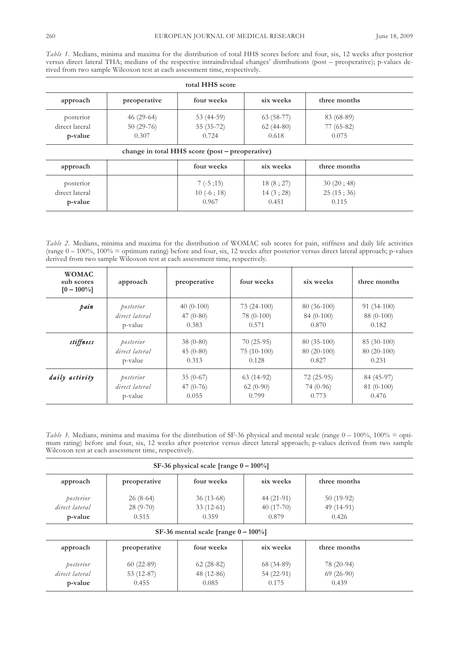*Table 1.* Medians, minima and maxima for the distribution of total HHS scores before and four, six, 12 weeks after posterior versus direct lateral THA; medians of the respective intraindividual changes' distributions (post – preoperative); p-values derived from two sample Wilcoxon test at each assessment time, respectively.

| total HHS score |              |                                                 |             |              |  |
|-----------------|--------------|-------------------------------------------------|-------------|--------------|--|
| approach        | preoperative | four weeks                                      | six weeks   | three months |  |
| posterior       | $46(29-64)$  | 53 (44-59)                                      | $63(58-77)$ | 83 (68-89)   |  |
| direct lateral  | $50(29-76)$  | $55(35-72)$                                     | $62(44-80)$ | $77(65-82)$  |  |
| p-value         | 0.307        | 0.724                                           | 0.618       | 0.075        |  |
|                 |              | change in total HHS score (post – preoperative) |             |              |  |

| approach                               | four weeks                          | six weeks                       | three months                     |  |
|----------------------------------------|-------------------------------------|---------------------------------|----------------------------------|--|
| posterior<br>direct lateral<br>p-value | $7(-5;15)$<br>$10(-6; 18)$<br>0.967 | 18(8; 27)<br>14(3; 28)<br>0.451 | 30(20; 48)<br>25(15;36)<br>0.115 |  |

*Table 2.* Medians, minima and maxima for the distribution of WOMAC sub scores for pain, stiffness and daily life activities (range 0 – 100%, 100% = optimum rating) before and four, six, 12 weeks after posterior versus direct lateral approach; p-values derived from two sample Wilcoxon test at each assessment time, respectively.

| <b>WOMAC</b><br>sub scores<br>$[0 - 100\%]$ | approach       | preoperative | four weeks   | six weeks    | three months |
|---------------------------------------------|----------------|--------------|--------------|--------------|--------------|
| pain                                        | posterior      | $40(0-100)$  | $73(24-100)$ | $80(36-100)$ | $91(34-100)$ |
|                                             | direct lateral | 47 $(0-80)$  | 78 (0-100)   | $84(0-100)$  | 88 (0-100)   |
|                                             | p-value        | 0.383        | 0.571        | 0.870        | 0.182        |
| stiffness                                   | posterior      | $38(0-80)$   | $70(25-95)$  | $80(35-100)$ | $85(30-100)$ |
|                                             | direct lateral | $45(0-80)$   | $75(10-100)$ | $80(20-100)$ | $80(20-100)$ |
|                                             | p-value        | 0.313        | 0.128        | 0.827        | 0.231        |
| daily activity                              | posterior      | $35(0-67)$   | $63(14-92)$  | $72(25-95)$  | 84 (45-97)   |
|                                             | direct lateral | 47 $(0-76)$  | $62(0-90)$   | $74(0-96)$   | $81(0-100)$  |
|                                             | p-value        | 0.055        | 0.799        | 0.773        | 0.476        |

*Table 3.* Medians, minima and maxima for the distribution of SF-36 physical and mental scale (range  $0 - 100\%$ ,  $100\% =$  optimum rating) before and four, six, 12 weeks after posterior versus direct lateral approach; p-values derived from two sample Wilcoxon test at each assessment time, respectively.

| SF-36 physical scale [range $0 - 100\%$ ] |                                         |             |             |              |  |  |
|-------------------------------------------|-----------------------------------------|-------------|-------------|--------------|--|--|
| approach                                  | preoperative                            | four weeks  | six weeks   | three months |  |  |
| posterior                                 | $26(8-64)$                              | $36(13-68)$ | $44(21-91)$ | $50(19-92)$  |  |  |
| direct lateral                            | $28(9-70)$                              | $33(12-61)$ | $40(17-70)$ | 49 (14-91)   |  |  |
| p-value                                   | 0.515                                   | 0.359       | 0.879       | 0.426        |  |  |
|                                           | SF-36 mental scale [range $0 - 100\%$ ] |             |             |              |  |  |
| approach                                  | preoperative                            | four weeks  | six weeks   | three months |  |  |
| posterior                                 | $60(22-89)$                             | $62(28-82)$ | 68 (34-89)  | 78 (20-94)   |  |  |
| direct lateral                            | $53(12-87)$                             | 48 (12-86)  | $54(22-91)$ | $69(26-90)$  |  |  |
| p-value                                   | 0.455                                   | 0.085       | 0.175       | 0.439        |  |  |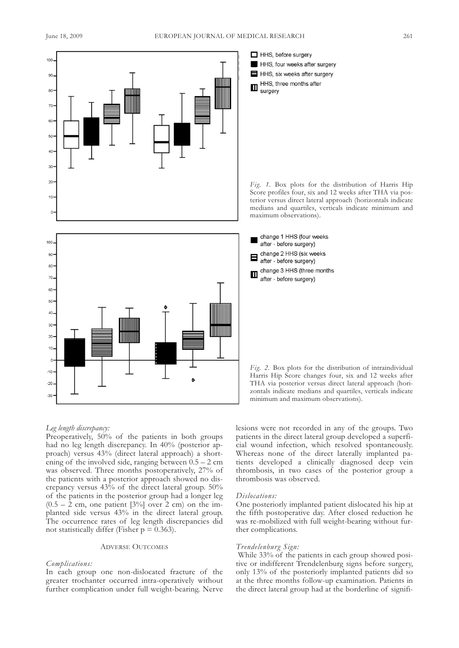

## *Leg length discrepancy:*

Preoperatively, 50% of the patients in both groups had no leg length discrepancy. In 40% (posterior approach) versus 43% (direct lateral approach) a shortening of the involved side, ranging between  $0.5 - 2$  cm was observed. Three months postoperatively, 27% of the patients with a posterior approach showed no discrepancy versus 43% of the direct lateral group. 50% of the patients in the posterior group had a longer leg  $(0.5 - \overline{2}$  cm, one patient  $[3\%]$  over 2 cm) on the implanted side versus 43% in the direct lateral group. The occurrence rates of leg length discrepancies did not statistically differ (Fisher  $p = 0.363$ ).

### ADVERSE OUTCOMES

#### *Complications:*

In each group one non-dislocated fracture of the greater trochanter occurred intra-operatively without further complication under full weight-bearing. Nerve lesions were not recorded in any of the groups. Two patients in the direct lateral group developed a superficial wound infection, which resolved spontaneously. Whereas none of the direct laterally implanted patients developed a clinically diagnosed deep vein thrombosis, in two cases of the posterior group a thrombosis was observed.

#### *Dislocations:*

One posteriorly implanted patient dislocated his hip at the fifth postoperative day. After closed reduction he was re-mobilized with full weight-bearing without further complications.

#### *Trendelenburg Sign:*

While 33% of the patients in each group showed positive or indifferent Trendelenburg signs before surgery, only 13% of the posteriorly implanted patients did so at the three months follow-up examination. Patients in the direct lateral group had at the borderline of signifi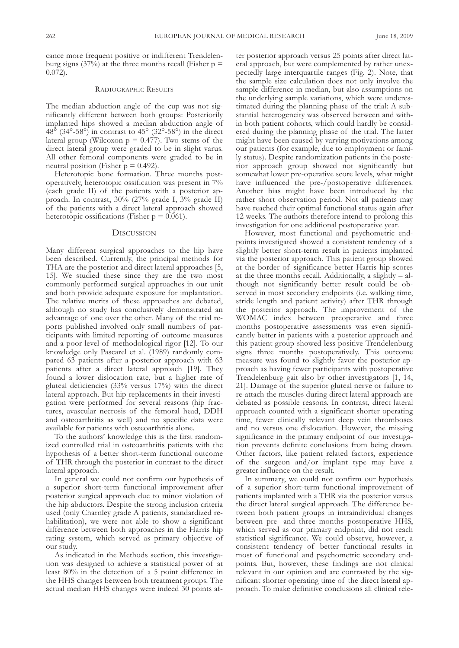cance more frequent positive or indifferent Trendelenburg signs (37%) at the three months recall (Fisher  $p =$ 0.072).

# RADIOGRAPHIC RESULTS

The median abduction angle of the cup was not significantly different between both groups: Posteriorily implanted hips showed a median abduction angle of  $48^{\circ}$  (34°-58°) in contrast to 45° (32°-58°) in the direct lateral group (Wilcoxon  $p = 0.477$ ). Two stems of the direct lateral group were graded to be in slight varus. All other femoral components were graded to be in neutral position (Fisher  $p = 0.492$ ).

Heterotopic bone formation. Three months postoperatively, heterotopic ossification was present in 7% (each grade II) of the patients with a posterior approach. In contrast, 30% (27% grade I, 3% grade II) of the patients with a direct lateral approach showed heterotopic ossifications (Fisher  $p = 0.061$ ).

#### **DISCUSSION**

Many different surgical approaches to the hip have been described. Currently, the principal methods for THA are the posterior and direct lateral approaches [5, 15]. We studied these since they are the two most commonly performed surgical approaches in our unit and both provide adequate exposure for implantation. The relative merits of these approaches are debated, although no study has conclusively demonstrated an advantage of one over the other. Many of the trial reports published involved only small numbers of participants with limited reporting of outcome measures and a poor level of methodological rigor [12]. To our knowledge only Pascarel et al. (1989) randomly compared 63 patients after a posterior approach with 63 patients after a direct lateral approach [19]. They found a lower dislocation rate, but a higher rate of gluteal deficiencies (33% versus 17%) with the direct lateral approach. But hip replacements in their investigation were performed for several reasons (hip fractures, avascular necrosis of the femoral head, DDH and osteoarthritis as well) and no specific data were available for patients with osteoarthritis alone.

To the authors' knowledge this is the first randomized controlled trial in osteoarthritis patients with the hypothesis of a better short-term functional outcome of THR through the posterior in contrast to the direct lateral approach.

In general we could not confirm our hypothesis of a superior short-term functional improvement after posterior surgical approach due to minor violation of the hip abductors. Despite the strong inclusion criteria used (only Charnley grade A patients, standardized rehabilitation), we were not able to show a significant difference between both approaches in the Harris hip rating system, which served as primary objective of our study.

As indicated in the Methods section, this investigation was designed to achieve a statistical power of at least 80% in the detection of a 5 point difference in the HHS changes between both treatment groups. The actual median HHS changes were indeed 30 points af-

ter posterior approach versus 25 points after direct lateral approach, but were complemented by rather unexpectedly large interquartile ranges (Fig. 2). Note, that the sample size calculation does not only involve the sample difference in median, but also assumptions on the underlying sample variations, which were underestimated during the planning phase of the trial: A substantial heterogeneity was observed between and within both patient cohorts, which could hardly be considered during the planning phase of the trial. The latter might have been caused by varying motivations among our patients (for example, due to employment or family status). Despite randomization patients in the posterior approach group showed not significantly but somewhat lower pre-operative score levels, what might have influenced the pre-/postoperative differences. Another bias might have been introduced by the rather short observation period. Not all patients may have reached their optimal functional status again after 12 weeks. The authors therefore intend to prolong this investigation for one additional postoperative year.

However, most functional and psychometric endpoints investigated showed a consistent tendency of a slightly better short-term result in patients implanted via the posterior approach. This patient group showed at the border of significance better Harris hip scores at the three months recall. Additionally, a slightly – although not significantly better result could be observed in most secondary endpoints (i.e. walking time, stride length and patient activity) after THR through the posterior approach. The improvement of the WOMAC index between preoperative and three months postoperative assessments was even significantly better in patients with a posterior approach and this patient group showed less positive Trendelenburg signs three months postoperatively. This outcome measure was found to slightly favor the posterior approach as having fewer participants with postoperative Trendelenburg gait also by other investigators [1, 14, 21]. Damage of the superior gluteal nerve or failure to re-attach the muscles during direct lateral approach are debated as possible reasons. In contrast, direct lateral approach counted with a significant shorter operating time, fewer clinically relevant deep vein thromboses and no versus one dislocation. However, the missing significance in the primary endpoint of our investigation prevents definite conclusions from being drawn. Other factors, like patient related factors, experience of the surgeon and/or implant type may have a greater influence on the result.

In summary, we could not confirm our hypothesis of a superior short-term functional improvement of patients implanted with a THR via the posterior versus the direct lateral surgical approach. The difference between both patient groups in intraindividual changes between pre- and three months postoperative HHS, which served as our primary endpoint, did not reach statistical significance. We could observe, however, a consistent tendency of better functional results in most of functional and psychometric secondary endpoints. But, however, these findings are not clinical relevant in our opinion and are contrasted by the significant shorter operating time of the direct lateral approach. To make definitive conclusions all clinical rele